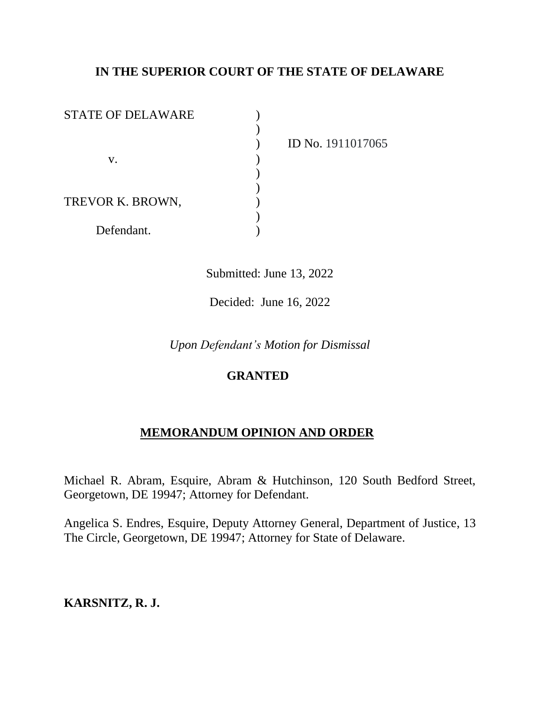# **IN THE SUPERIOR COURT OF THE STATE OF DELAWARE**

| <b>STATE OF DELAWARE</b> |  |
|--------------------------|--|
|                          |  |
|                          |  |
| V.                       |  |
|                          |  |
|                          |  |
| TREVOR K. BROWN,         |  |
|                          |  |
| Defendant.               |  |

) ID No. 1911017065

Submitted: June 13, 2022

Decided: June 16, 2022

*Upon Defendant's Motion for Dismissal*

## **GRANTED**

## **MEMORANDUM OPINION AND ORDER**

Michael R. Abram, Esquire, Abram & Hutchinson, 120 South Bedford Street, Georgetown, DE 19947; Attorney for Defendant.

Angelica S. Endres, Esquire, Deputy Attorney General, Department of Justice, 13 The Circle, Georgetown, DE 19947; Attorney for State of Delaware.

## **KARSNITZ, R. J.**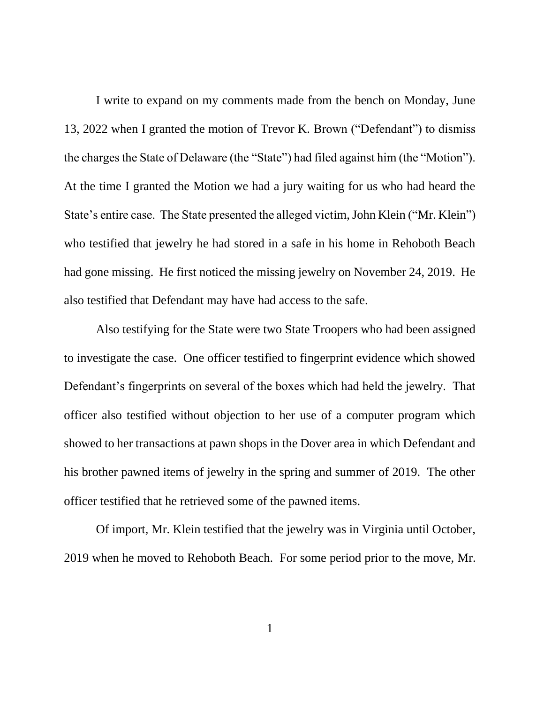I write to expand on my comments made from the bench on Monday, June 13, 2022 when I granted the motion of Trevor K. Brown ("Defendant") to dismiss the charges the State of Delaware (the "State") had filed against him (the "Motion"). At the time I granted the Motion we had a jury waiting for us who had heard the State's entire case. The State presented the alleged victim, John Klein ("Mr. Klein") who testified that jewelry he had stored in a safe in his home in Rehoboth Beach had gone missing. He first noticed the missing jewelry on November 24, 2019. He also testified that Defendant may have had access to the safe.

Also testifying for the State were two State Troopers who had been assigned to investigate the case. One officer testified to fingerprint evidence which showed Defendant's fingerprints on several of the boxes which had held the jewelry. That officer also testified without objection to her use of a computer program which showed to her transactions at pawn shops in the Dover area in which Defendant and his brother pawned items of jewelry in the spring and summer of 2019. The other officer testified that he retrieved some of the pawned items.

Of import, Mr. Klein testified that the jewelry was in Virginia until October, 2019 when he moved to Rehoboth Beach. For some period prior to the move, Mr.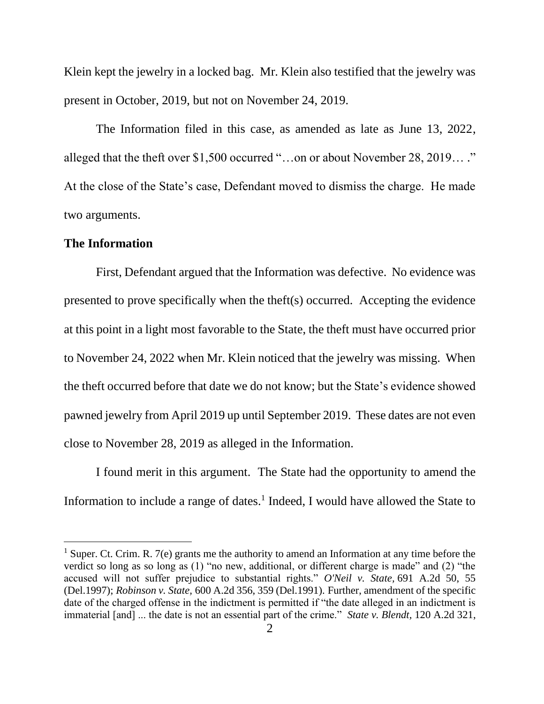Klein kept the jewelry in a locked bag. Mr. Klein also testified that the jewelry was present in October, 2019, but not on November 24, 2019.

The Information filed in this case, as amended as late as June 13, 2022, alleged that the theft over \$1,500 occurred "…on or about November 28, 2019… ." At the close of the State's case, Defendant moved to dismiss the charge. He made two arguments.

#### **The Information**

First, Defendant argued that the Information was defective. No evidence was presented to prove specifically when the theft(s) occurred. Accepting the evidence at this point in a light most favorable to the State, the theft must have occurred prior to November 24, 2022 when Mr. Klein noticed that the jewelry was missing. When the theft occurred before that date we do not know; but the State's evidence showed pawned jewelry from April 2019 up until September 2019. These dates are not even close to November 28, 2019 as alleged in the Information.

I found merit in this argument. The State had the opportunity to amend the Information to include a range of dates.<sup>1</sup> Indeed, I would have allowed the State to

<sup>&</sup>lt;sup>1</sup> Super. Ct. Crim. R. 7(e) grants me the authority to amend an Information at any time before the verdict so long as so long as (1) "no new, additional, or different charge is made" and (2) "the accused will not suffer prejudice to substantial rights." *[O'Neil](https://1.next.westlaw.com/Link/Document/FullText?findType=Y&serNum=1997076995&pubNum=0000162&originatingDoc=Icb4048c0033511dcaba8d9d29eb57eff&refType=RP&fi=co_pp_sp_162_55&originationContext=document&transitionType=DocumentItem&ppcid=3bad563b04704c748400bbe4d97bc901&contextData=(sc.Default)#co_pp_sp_162_55) v. State,* 691 A.2d 50, 55 [\(Del.1997\);](https://1.next.westlaw.com/Link/Document/FullText?findType=Y&serNum=1997076995&pubNum=0000162&originatingDoc=Icb4048c0033511dcaba8d9d29eb57eff&refType=RP&fi=co_pp_sp_162_55&originationContext=document&transitionType=DocumentItem&ppcid=3bad563b04704c748400bbe4d97bc901&contextData=(sc.Default)#co_pp_sp_162_55) *Robinson v. State,* 600 A.2d 356, 359 [\(Del.1991\).](https://1.next.westlaw.com/Link/Document/FullText?findType=Y&serNum=1991203257&pubNum=0000162&originatingDoc=Icb4048c0033511dcaba8d9d29eb57eff&refType=RP&fi=co_pp_sp_162_359&originationContext=document&transitionType=DocumentItem&ppcid=3bad563b04704c748400bbe4d97bc901&contextData=(sc.Default)#co_pp_sp_162_359) Further, amendment of the specific date of the charged offense in the indictment is permitted if "the date alleged in an indictment is immaterial [and] ... the date is not an essential part of the crime." *State v. [Blendt,](https://1.next.westlaw.com/Link/Document/FullText?findType=Y&serNum=1956104954&pubNum=0000162&originatingDoc=Icb4048c0033511dcaba8d9d29eb57eff&refType=RP&fi=co_pp_sp_162_322&originationContext=document&transitionType=DocumentItem&ppcid=3bad563b04704c748400bbe4d97bc901&contextData=(sc.Default)#co_pp_sp_162_322)* 120 A.2d 321,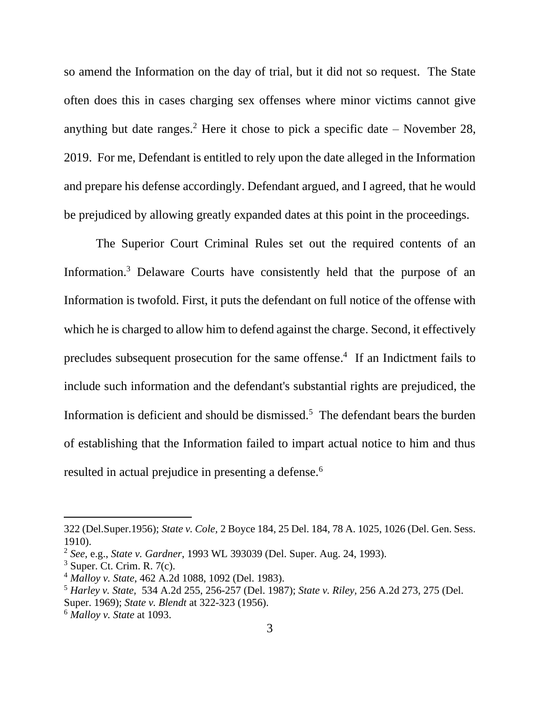so amend the Information on the day of trial, but it did not so request. The State often does this in cases charging sex offenses where minor victims cannot give anything but date ranges.<sup>2</sup> Here it chose to pick a specific date – November 28, 2019. For me, Defendant is entitled to rely upon the date alleged in the Information and prepare his defense accordingly. Defendant argued, and I agreed, that he would be prejudiced by allowing greatly expanded dates at this point in the proceedings.

The Superior Court Criminal Rules set out the required contents of an Information.<sup>3</sup> Delaware Courts have consistently held that the purpose of an Information is twofold. First, it puts the defendant on full notice of the offense with which he is charged to allow him to defend against the charge. Second, it effectively precludes subsequent prosecution for the same offense. 4 If an Indictment fails to include such information and the defendant's substantial rights are prejudiced, the Information is deficient and should be dismissed.<sup>5</sup> The defendant bears the burden of establishing that the Information failed to impart actual notice to him and thus resulted in actual prejudice in presenting a defense.<sup>6</sup>

<sup>322</sup> [\(Del.Super.1956\);](https://1.next.westlaw.com/Link/Document/FullText?findType=Y&serNum=1956104954&pubNum=0000162&originatingDoc=Icb4048c0033511dcaba8d9d29eb57eff&refType=RP&fi=co_pp_sp_162_322&originationContext=document&transitionType=DocumentItem&ppcid=3bad563b04704c748400bbe4d97bc901&contextData=(sc.Default)#co_pp_sp_162_322) *State v. Cole,* 2 [Boyce](https://1.next.westlaw.com/Link/Document/FullText?findType=Y&serNum=1910018298&pubNum=0000161&originatingDoc=Icb4048c0033511dcaba8d9d29eb57eff&refType=RP&fi=co_pp_sp_161_1026&originationContext=document&transitionType=DocumentItem&ppcid=3bad563b04704c748400bbe4d97bc901&contextData=(sc.Default)#co_pp_sp_161_1026) 184, 25 Del. 184, 78 A. 1025, 1026 (Del. Gen. Sess. [1910\).](https://1.next.westlaw.com/Link/Document/FullText?findType=Y&serNum=1910018298&pubNum=0000161&originatingDoc=Icb4048c0033511dcaba8d9d29eb57eff&refType=RP&fi=co_pp_sp_161_1026&originationContext=document&transitionType=DocumentItem&ppcid=3bad563b04704c748400bbe4d97bc901&contextData=(sc.Default)#co_pp_sp_161_1026)

<sup>2</sup> *See*, e.g., *State v. Gardner*, 1993 WL 393039 (Del. Super. Aug. 24, 1993).

 $3$  Super. Ct. Crim. R. 7(c).

<sup>4</sup> *Malloy v. State*, 462 A.2d 1088, 1092 (Del. 1983).

<sup>5</sup> *Harley v. State,* 534 A.2d 255, [256-257](https://1.next.westlaw.com/Link/Document/FullText?findType=Y&serNum=1987158183&pubNum=162&originatingDoc=I7bafce4a34e311d98b61a35269fc5f88&refType=RP&fi=co_pp_sp_162_256&originationContext=document&transitionType=DocumentItem&ppcid=359cd45417884521866e5fb1678ad7a2&contextData=(sc.Search)#co_pp_sp_162_256) (Del. 1987); *State v. [Riley,](https://1.next.westlaw.com/Link/Document/FullText?findType=Y&serNum=1969110500&pubNum=162&originatingDoc=I7bafce4a34e311d98b61a35269fc5f88&refType=RP&fi=co_pp_sp_162_275&originationContext=document&transitionType=DocumentItem&ppcid=359cd45417884521866e5fb1678ad7a2&contextData=(sc.Search)#co_pp_sp_162_275)* 256 A.2d 273, 275 (Del. [Super.](https://1.next.westlaw.com/Link/Document/FullText?findType=Y&serNum=1969110500&pubNum=162&originatingDoc=I7bafce4a34e311d98b61a35269fc5f88&refType=RP&fi=co_pp_sp_162_275&originationContext=document&transitionType=DocumentItem&ppcid=359cd45417884521866e5fb1678ad7a2&contextData=(sc.Search)#co_pp_sp_162_275) 1969); *State v. Blendt* at [322-323](https://1.next.westlaw.com/Link/Document/FullText?findType=Y&serNum=1956104954&pubNum=162&originatingDoc=I7bafce4a34e311d98b61a35269fc5f88&refType=RP&fi=co_pp_sp_162_322&originationContext=document&transitionType=DocumentItem&ppcid=359cd45417884521866e5fb1678ad7a2&contextData=(sc.Search)#co_pp_sp_162_322) (1956).

<sup>6</sup> *Malloy v. State* at 1093.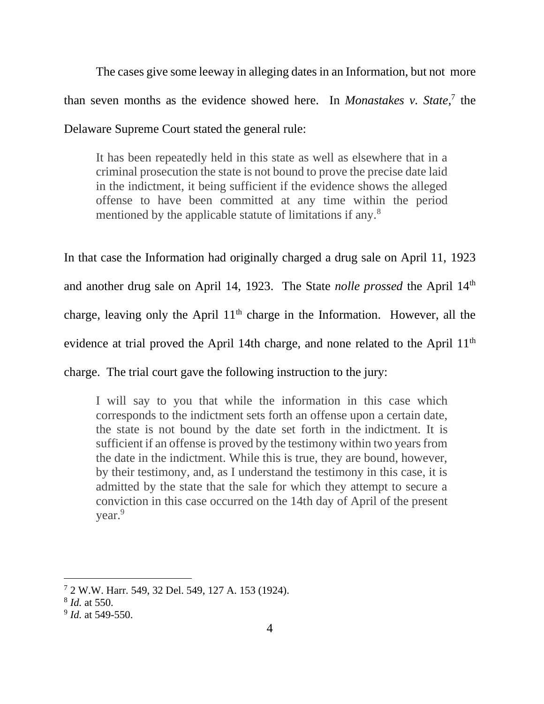The cases give some leeway in alleging dates in an Information, but not more than seven months as the evidence showed here. In *Monastakes v. State*, 7 the Delaware Supreme Court stated the general rule:

It has been repeatedly held in this state as well as elsewhere that in a criminal prosecution the state is not bound to prove the precise date laid in the indictment, it being sufficient if the evidence shows the alleged offense to have been committed at any time within the period mentioned by the applicable statute of limitations if any.<sup>8</sup>

In that case the Information had originally charged a drug sale on April 11, 1923 and another drug sale on April 14, 1923. The State *nolle prossed* the April 14<sup>th</sup> charge, leaving only the April  $11<sup>th</sup>$  charge in the Information. However, all the evidence at trial proved the April 14th charge, and none related to the April 11<sup>th</sup> charge. The trial court gave the following instruction to the jury:

I will say to you that while the information in this case which corresponds to the indictment sets forth an offense upon a certain date, the state is not bound by the date set forth in the indictment. It is sufficient if an offense is proved by the testimony within two years from the date in the indictment. While this is true, they are bound, however, by their testimony, and, as I understand the testimony in this case, it is admitted by the state that the sale for which they attempt to secure a conviction in this case occurred on the 14th day of April of the present year.<sup>9</sup>

<sup>7</sup> 2 W.W. Harr. 549, 32 Del. 549, 127 A. 153 (1924).

<sup>8</sup> *Id.* at 550.

<sup>9</sup> *Id.* at 549-550.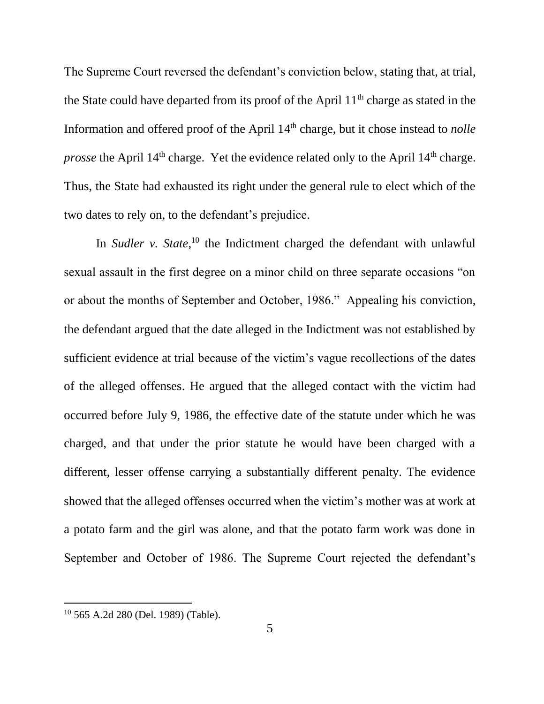The Supreme Court reversed the defendant's conviction below, stating that, at trial, the State could have departed from its proof of the April 11<sup>th</sup> charge as stated in the Information and offered proof of the April 14<sup>th</sup> charge, but it chose instead to *nolle prosse* the April 14<sup>th</sup> charge. Yet the evidence related only to the April 14<sup>th</sup> charge. Thus, the State had exhausted its right under the general rule to elect which of the two dates to rely on, to the defendant's prejudice.

In *Sudler* v. *State*,<sup>10</sup> the Indictment charged the defendant with unlawful sexual assault in the first degree on a minor child on three separate occasions "on or about the months of September and October, 1986." Appealing his conviction, the defendant argued that the date alleged in the Indictment was not established by sufficient evidence at trial because of the victim's vague recollections of the dates of the alleged offenses. He argued that the alleged contact with the victim had occurred before July 9, 1986, the effective date of the statute under which he was charged, and that under the prior statute he would have been charged with a different, lesser offense carrying a substantially different penalty. The evidence showed that the alleged offenses occurred when the victim's mother was at work at a potato farm and the girl was alone, and that the potato farm work was done in September and October of 1986. The Supreme Court rejected the defendant's

<sup>10</sup> 565 A.2d 280 (Del. 1989) (Table).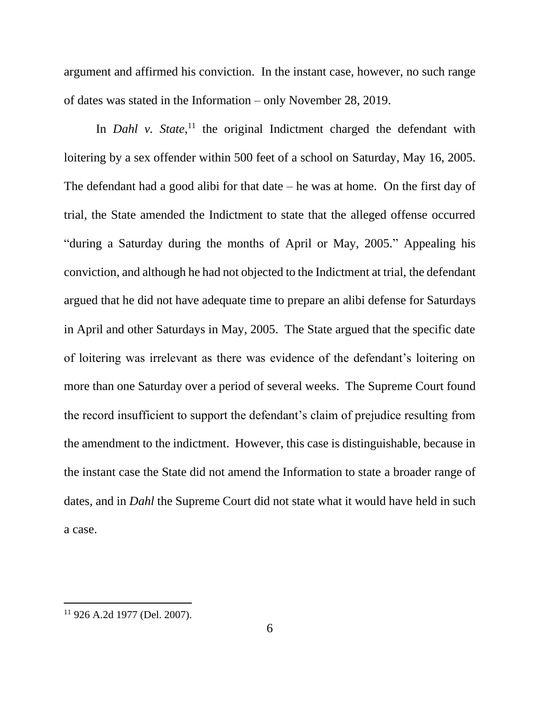argument and affirmed his conviction. In the instant case, however, no such range of dates was stated in the Information – only November 28, 2019.

In *Dahl v. State*,<sup>11</sup> the original Indictment charged the defendant with loitering by a sex offender within 500 feet of a school on Saturday, May 16, 2005. The defendant had a good alibi for that date  $-$  he was at home. On the first day of trial, the State amended the Indictment to state that the alleged offense occurred "during a Saturday during the months of April or May, 2005." Appealing his conviction, and although he had not objected to the Indictment at trial, the defendant argued that he did not have adequate time to prepare an alibi defense for Saturdays in April and other Saturdays in May, 2005. The State argued that the specific date of loitering was irrelevant as there was evidence of the defendant's loitering on more than one Saturday over a period of several weeks. The Supreme Court found the record insufficient to support the defendant's claim of prejudice resulting from the amendment to the indictment. However, this case is distinguishable, because in the instant case the State did not amend the Information to state a broader range of dates, and in *Dahl* the Supreme Court did not state what it would have held in such a case.

<sup>11</sup> 926 A.2d 1977 (Del. 2007).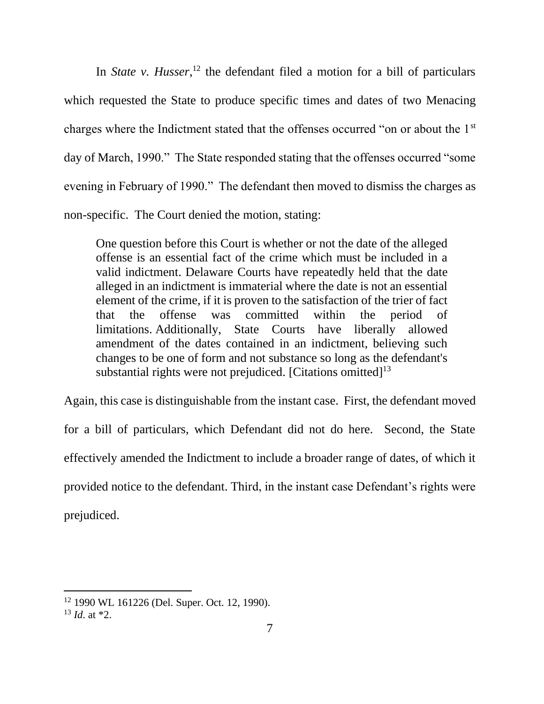In *State v. Husser*,<sup>12</sup> the defendant filed a motion for a bill of particulars which requested the State to produce specific times and dates of two Menacing charges where the Indictment stated that the offenses occurred "on or about the 1st day of March, 1990." The State responded stating that the offenses occurred "some evening in February of 1990." The defendant then moved to dismiss the charges as non-specific. The Court denied the motion, stating:

One question before this Court is whether or not the date of the alleged offense is an essential fact of the crime which must be included in a valid indictment. Delaware Courts have repeatedly held that the date alleged in an indictment is immaterial where the date is not an essential element of the crime, if it is proven to the satisfaction of the trier of fact that the offense was committed within the period of limitations. Additionally, State Courts have liberally allowed amendment of the dates contained in an indictment, believing such changes to be one of form and not substance so long as the defendant's substantial rights were not prejudiced. [Citations omitted] $<sup>13</sup>$ </sup>

Again, this case is distinguishable from the instant case. First, the defendant moved for a bill of particulars, which Defendant did not do here. Second, the State effectively amended the Indictment to include a broader range of dates, of which it provided notice to the defendant. Third, in the instant case Defendant's rights were prejudiced.

<sup>12</sup> 1990 WL 161226 (Del. Super. Oct. 12, 1990).

 $13$  *Id.* at  $*2$ .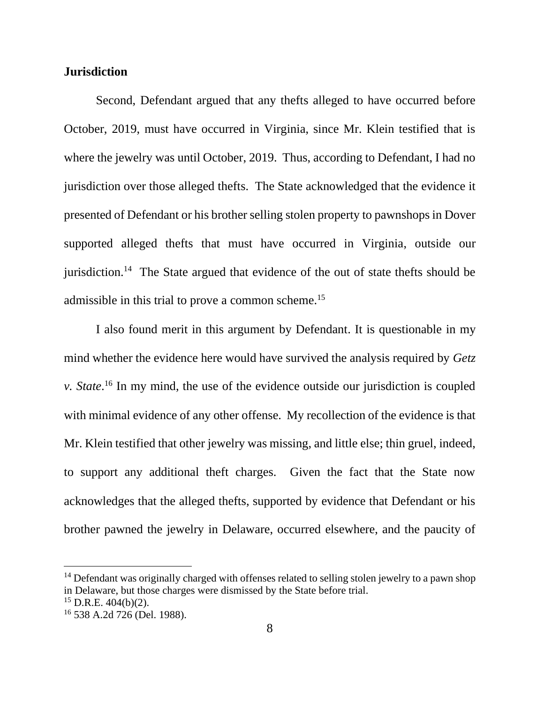#### **Jurisdiction**

Second, Defendant argued that any thefts alleged to have occurred before October, 2019, must have occurred in Virginia, since Mr. Klein testified that is where the jewelry was until October, 2019. Thus, according to Defendant, I had no jurisdiction over those alleged thefts. The State acknowledged that the evidence it presented of Defendant or his brother selling stolen property to pawnshops in Dover supported alleged thefts that must have occurred in Virginia, outside our jurisdiction.<sup>14</sup> The State argued that evidence of the out of state thefts should be admissible in this trial to prove a common scheme.<sup>15</sup>

I also found merit in this argument by Defendant. It is questionable in my mind whether the evidence here would have survived the analysis required by *Getz v. State*. <sup>16</sup> In my mind, the use of the evidence outside our jurisdiction is coupled with minimal evidence of any other offense. My recollection of the evidence is that Mr. Klein testified that other jewelry was missing, and little else; thin gruel, indeed, to support any additional theft charges. Given the fact that the State now acknowledges that the alleged thefts, supported by evidence that Defendant or his brother pawned the jewelry in Delaware, occurred elsewhere, and the paucity of

<sup>&</sup>lt;sup>14</sup> Defendant was originally charged with offenses related to selling stolen jewelry to a pawn shop in Delaware, but those charges were dismissed by the State before trial.

 $15$  D.R.E. 404(b)(2).

<sup>16</sup> 538 A.2d 726 (Del. 1988).